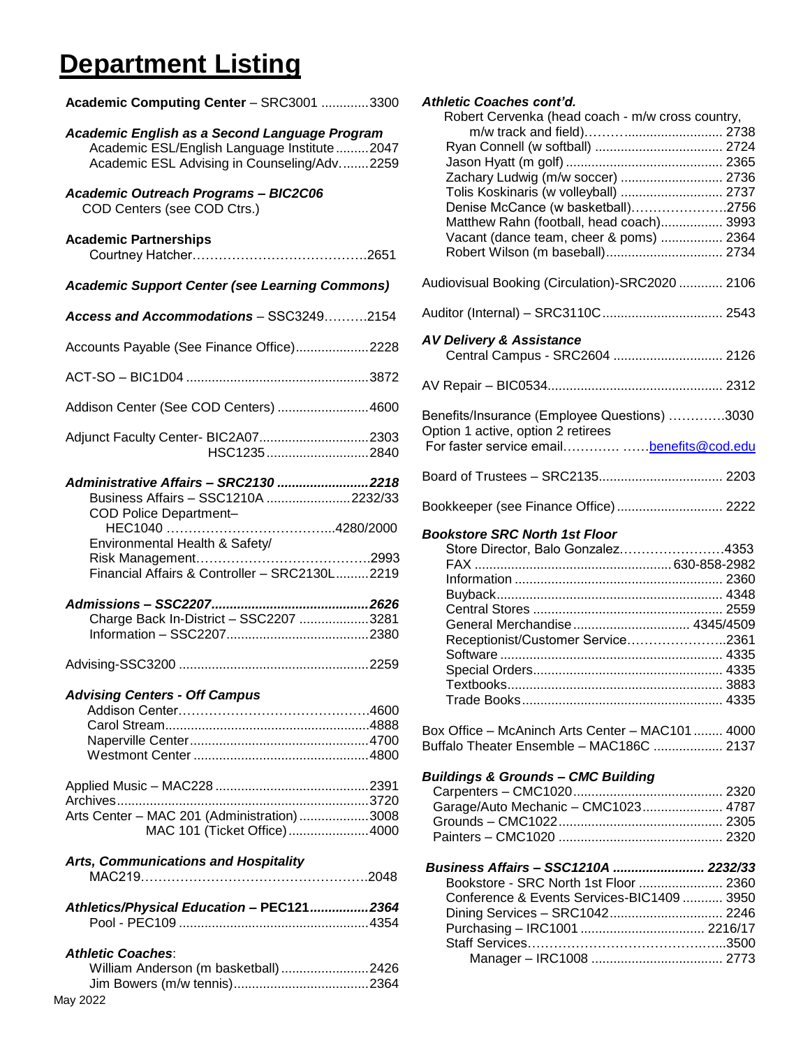# **Department Listing**

**Academic Computing Center** – SRC3001 .............3300

| Academic English as a Second Language Program<br>Academic ESL/English Language Institute2047<br>Academic ESL Advising in Counseling/Adv2259                                               |
|-------------------------------------------------------------------------------------------------------------------------------------------------------------------------------------------|
| <b>Academic Outreach Programs - BIC2C06</b><br>COD Centers (see COD Ctrs.)                                                                                                                |
| <b>Academic Partnerships</b>                                                                                                                                                              |
| <b>Academic Support Center (see Learning Commons)</b>                                                                                                                                     |
| Access and Accommodations - SSC32492154                                                                                                                                                   |
| Accounts Payable (See Finance Office)2228                                                                                                                                                 |
|                                                                                                                                                                                           |
| Addison Center (See COD Centers)  4600                                                                                                                                                    |
| Adjunct Faculty Center- BIC2A072303<br>HSC12352840                                                                                                                                        |
| Administrative Affairs - SRC2130 2218<br>Business Affairs - SSC1210A 2232/33<br>COD Police Department-<br>Environmental Health & Safety/<br>Financial Affairs & Controller - SRC2130L2219 |
| Charge Back In-District - SSC2207 3281                                                                                                                                                    |
|                                                                                                                                                                                           |
| <b>Advising Centers - Off Campus</b>                                                                                                                                                      |
| Archives<br>Arts Center - MAC 201 (Administration)3008<br>MAC 101 (Ticket Office)4000                                                                                                     |
| <b>Arts, Communications and Hospitality</b>                                                                                                                                               |
| Athletics/Physical Education - PEC121 2364                                                                                                                                                |
| <b>Athletic Coaches:</b><br>William Anderson (m basketball) 2426                                                                                                                          |

| <b>Athletic Coaches cont'd.</b><br>Robert Cervenka (head coach - m/w cross country, |  |
|-------------------------------------------------------------------------------------|--|
|                                                                                     |  |
|                                                                                     |  |
|                                                                                     |  |
| Zachary Ludwig (m/w soccer)  2736                                                   |  |
| Tolis Koskinaris (w volleyball)  2737                                               |  |
| Denise McCance (w basketball)2756                                                   |  |
| Matthew Rahn (football, head coach) 3993                                            |  |
| Vacant (dance team, cheer & poms)  2364                                             |  |
| Robert Wilson (m baseball) 2734                                                     |  |
| Audiovisual Booking (Circulation)-SRC2020  2106                                     |  |
|                                                                                     |  |
| <b>AV Delivery &amp; Assistance</b><br>Central Campus - SRC2604  2126               |  |
|                                                                                     |  |
| Benefits/Insurance (Employee Questions) 3030<br>Option 1 active, option 2 retirees  |  |
| For faster service email benefits@cod.edu                                           |  |
|                                                                                     |  |
| Bookkeeper (see Finance Office)  2222                                               |  |
|                                                                                     |  |
|                                                                                     |  |
| <b>Bookstore SRC North 1st Floor</b>                                                |  |
| Store Director, Balo Gonzalez4353                                                   |  |
|                                                                                     |  |
|                                                                                     |  |
|                                                                                     |  |
|                                                                                     |  |
| General Merchandise 4345/4509                                                       |  |
| Receptionist/Customer Service2361                                                   |  |
|                                                                                     |  |
|                                                                                     |  |
|                                                                                     |  |
|                                                                                     |  |
| Box Office - McAninch Arts Center - MAC101  4000                                    |  |
| Buffalo Theater Ensemble - MAC186C  2137                                            |  |
| <b>Buildings &amp; Grounds - CMC Building</b>                                       |  |
|                                                                                     |  |
|                                                                                     |  |
| Garage/Auto Mechanic - CMC1023 4787                                                 |  |
|                                                                                     |  |
| Business Affairs - SSC1210A  2232/33                                                |  |
| Bookstore - SRC North 1st Floor  2360                                               |  |
| Conference & Events Services-BIC1409  3950                                          |  |
|                                                                                     |  |
|                                                                                     |  |

Manager – IRC1008 .................................... 2773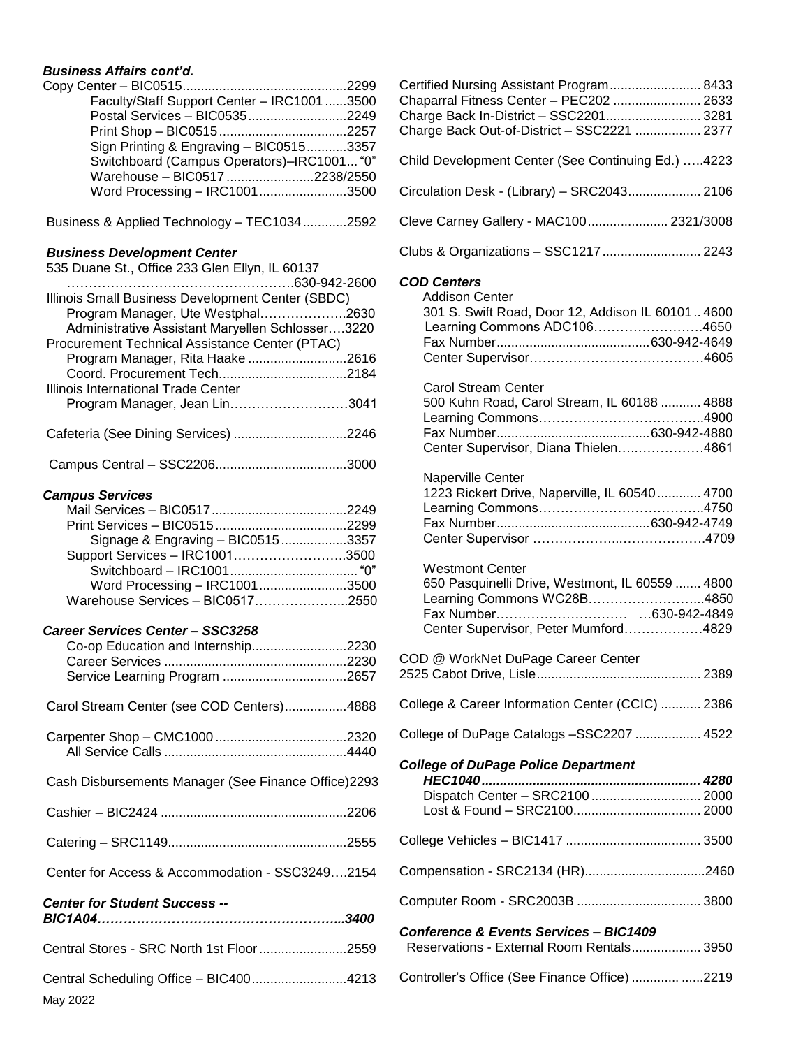# *Business Affairs cont'd.*

| Faculty/Staff Support Center - IRC1001 3500 |  |
|---------------------------------------------|--|
| Postal Services - BIC05352249               |  |
|                                             |  |
| Sign Printing & Engraving - BIC05153357     |  |
| Switchboard (Campus Operators)-IRC1001 "0"  |  |
| Warehouse - BIC0517 2238/2550               |  |
| Word Processing - IRC10013500               |  |

Business & Applied Technology – TEC1034............2592

#### *Business Development Center*

| 535 Duane St., Office 233 Glen Ellyn, IL 60137    |
|---------------------------------------------------|
|                                                   |
| Illinois Small Business Development Center (SBDC) |
| Program Manager, Ute Westphal2630                 |
| Administrative Assistant Maryellen Schlosser3220  |
| Procurement Technical Assistance Center (PTAC)    |
| Program Manager, Rita Haake 2616                  |
|                                                   |
| Illinois International Trade Center               |
| Program Manager, Jean Lin3041                     |
|                                                   |
| Cafeteria (See Dining Services) 2246              |
|                                                   |
|                                                   |

#### *Campus Services*

| Signage & Engraving - BIC05153357 |  |
|-----------------------------------|--|
| Support Services - IRC10013500    |  |
|                                   |  |
| Word Processing - IRC10013500     |  |
| Warehouse Services - BIC05172550  |  |

#### *Career Services Center – SSC3258*

| Co-op Education and Internship2230                  |  |
|-----------------------------------------------------|--|
| Carol Stream Center (see COD Centers)4888           |  |
|                                                     |  |
| Cash Disbursements Manager (See Finance Office)2293 |  |
|                                                     |  |
|                                                     |  |
| Center for Access & Accommodation - SSC32492154     |  |
| <b>Center for Student Success --</b>                |  |
| Central Stores - SRC North 1st Floor2559            |  |
| Central Scheduling Office - BIC4004213<br>May 2022  |  |

| Certified Nursing Assistant Program 8433           |  |
|----------------------------------------------------|--|
| Chaparral Fitness Center - PEC202  2633            |  |
| Charge Back In-District - SSC2201 3281             |  |
| Charge Back Out-of-District - SSC2221  2377        |  |
| Child Development Center (See Continuing Ed.) 4223 |  |
| Circulation Desk - (Library) - SRC2043 2106        |  |
| Cleve Carney Gallery - MAC100 2321/3008            |  |
| Clubs & Organizations - SSC1217  2243              |  |
| <b>COD Centers</b>                                 |  |
| <b>Addison Center</b>                              |  |
|                                                    |  |
| 301 S. Swift Road, Door 12, Addison IL 60101 4600  |  |
| Learning Commons ADC1064650                        |  |
|                                                    |  |
|                                                    |  |
| <b>Carol Stream Center</b>                         |  |
| 500 Kuhn Road, Carol Stream, IL 60188  4888        |  |
|                                                    |  |
|                                                    |  |
| Center Supervisor, Diana Thielen4861               |  |
| Naperville Center                                  |  |
| 1223 Rickert Drive, Naperville, IL 60540  4700     |  |
|                                                    |  |
|                                                    |  |
|                                                    |  |
| <b>Westmont Center</b>                             |  |
| 650 Pasquinelli Drive, Westmont, IL 60559  4800    |  |
| Learning Commons WC28B4850                         |  |
|                                                    |  |
| Center Supervisor, Peter Mumford4829               |  |
| COD @ WorkNet DuPage Career Center                 |  |
| 2389<br>2525 Cabot Drive, Lisle                    |  |
| College & Career Information Center (CCIC)  2386   |  |
| College of DuPage Catalogs - SSC2207  4522         |  |
| <b>College of DuPage Police Department</b>         |  |
| HEC1040                                            |  |
| Dispatch Center - SRC2100  2000                    |  |
|                                                    |  |
|                                                    |  |
|                                                    |  |
|                                                    |  |
| <b>Conference &amp; Events Services - BIC1409</b>  |  |
| Reservations - External Room Rentals 3950          |  |
| Controller's Office (See Finance Office)  2219     |  |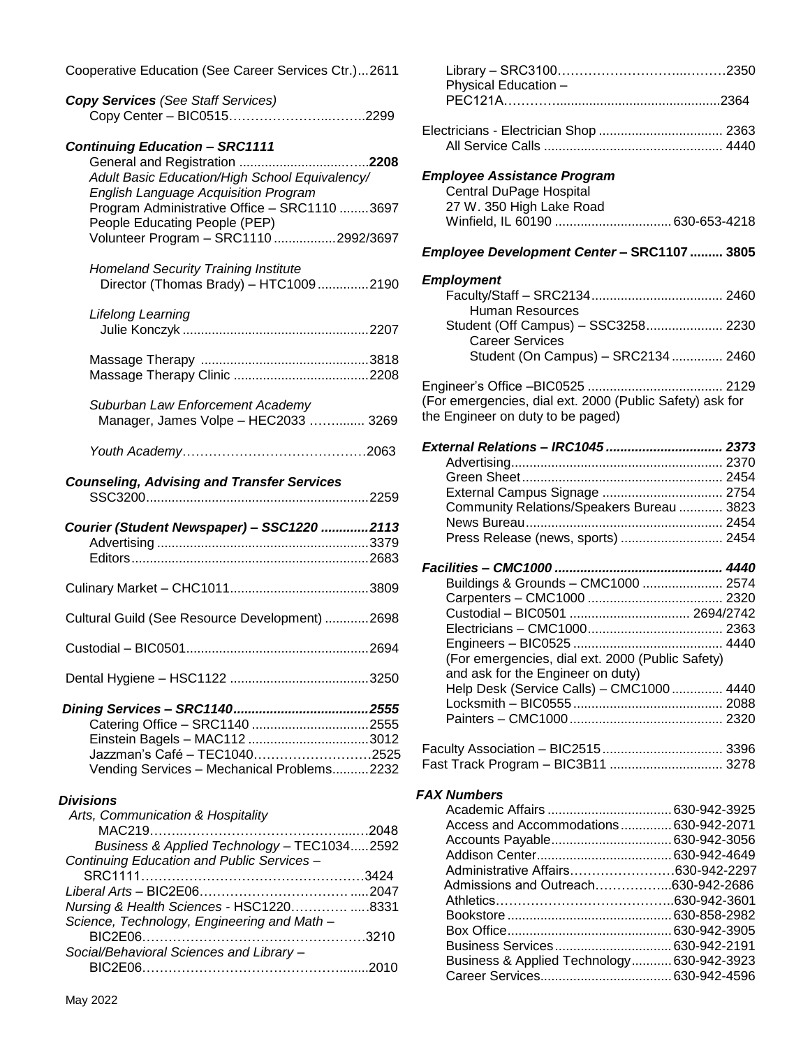Cooperative Education (See Career Services Ctr.)...2611

| <b>Copy Services (See Staff Services)</b> |  |
|-------------------------------------------|--|
|                                           |  |

## *Continuing Education – SRC1111*

| Adult Basic Education/High School Equivalency/<br><b>English Language Acquisition Program</b><br>Program Administrative Office - SRC1110 3697<br>People Educating People (PEP)<br>Volunteer Program - SRC1110 2992/3697 |  |
|-------------------------------------------------------------------------------------------------------------------------------------------------------------------------------------------------------------------------|--|
| <b>Homeland Security Training Institute</b><br>Director (Thomas Brady) - HTC10092190                                                                                                                                    |  |
| Lifelong Learning                                                                                                                                                                                                       |  |
|                                                                                                                                                                                                                         |  |
| Suburban Law Enforcement Academy<br>Manager, James Volpe - HEC2033  3269                                                                                                                                                |  |
|                                                                                                                                                                                                                         |  |
| <b>Counseling, Advising and Transfer Services</b>                                                                                                                                                                       |  |
|                                                                                                                                                                                                                         |  |
| Courier (Student Newspaper) - SSC1220 2113                                                                                                                                                                              |  |
|                                                                                                                                                                                                                         |  |
| Cultural Guild (See Resource Development) 2698                                                                                                                                                                          |  |
|                                                                                                                                                                                                                         |  |
|                                                                                                                                                                                                                         |  |

#### *Divisions*

| Arts, Communication & Hospitality           |  |
|---------------------------------------------|--|
|                                             |  |
| Business & Applied Technology - TEC10342592 |  |
| Continuing Education and Public Services -  |  |
|                                             |  |
|                                             |  |
| Nursing & Health Sciences - HSC12208331     |  |
| Science, Technology, Engineering and Math-  |  |
|                                             |  |
| Social/Behavioral Sciences and Library-     |  |
|                                             |  |
|                                             |  |

| Physical Education -                                          |  |
|---------------------------------------------------------------|--|
|                                                               |  |
| Electricians - Electrician Shop  2363                         |  |
| <b>Employee Assistance Program</b>                            |  |
| <b>Central DuPage Hospital</b>                                |  |
| 27 W. 350 High Lake Road<br>Winfield, IL 60190  630-653-4218  |  |
| Employee Development Center - SRC1107  3805                   |  |
| <b>Employment</b>                                             |  |
|                                                               |  |
| Human Resources                                               |  |
| Student (Off Campus) - SSC3258 2230<br><b>Career Services</b> |  |
| Student (On Campus) - SRC2134  2460                           |  |
|                                                               |  |
| (For emergencies, dial ext. 2000 (Public Safety) ask for      |  |
| the Engineer on duty to be paged)                             |  |
| External Relations - IRC1045  2373                            |  |
|                                                               |  |
|                                                               |  |
| External Campus Signage  2754                                 |  |
| Community Relations/Speakers Bureau  3823                     |  |
|                                                               |  |
| Press Release (news, sports)  2454                            |  |
|                                                               |  |
| Buildings & Grounds - CMC1000  2574                           |  |
|                                                               |  |
| Custodial - BIC0501  2694/2742                                |  |
|                                                               |  |
|                                                               |  |
| (For emergencies, dial ext. 2000 (Public Safety)              |  |
| and ask for the Engineer on duty)                             |  |
| Help Desk (Service Calls) - CMC1000  4440                     |  |
|                                                               |  |
|                                                               |  |
|                                                               |  |
| Fast Track Program - BIC3B11  3278                            |  |

#### *FAX Numbers*

| Access and Accommodations 630-942-2071     |  |
|--------------------------------------------|--|
|                                            |  |
|                                            |  |
|                                            |  |
| Admissions and Outreach630-942-2686        |  |
|                                            |  |
|                                            |  |
|                                            |  |
|                                            |  |
| Business & Applied Technology 630-942-3923 |  |
|                                            |  |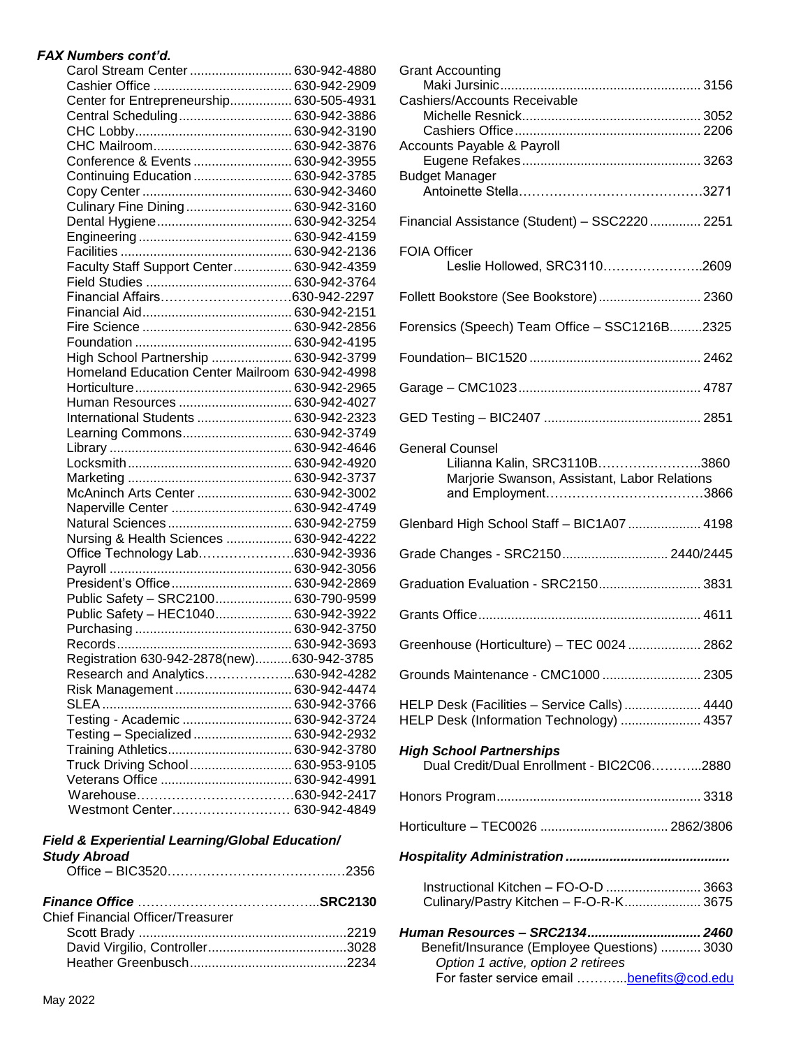### *FAX Numbers cont'd.*

| Center for Entrepreneurship 630-505-4931<br>Central Scheduling 630-942-3886<br>Conference & Events  630-942-3955<br>Continuing Education  630-942-3785<br>Culinary Fine Dining 630-942-3160<br>Faculty Staff Support Center 630-942-4359<br>Financial Affairs630-942-2297<br>High School Partnership  630-942-3799<br>Homeland Education Center Mailroom 630-942-4998<br>Human Resources  630-942-4027<br>International Students  630-942-2323<br>Learning Commons 630-942-3749<br>McAninch Arts Center  630-942-3002<br>Naperville Center  630-942-4749<br>Natural Sciences  630-942-2759<br>Nursing & Health Sciences  630-942-4222<br>Office Technology Lab630-942-3936<br>President's Office  630-942-2869<br>Public Safety - SRC2100 630-790-9599<br>Public Safety - HEC1040 630-942-3922<br>Registration 630-942-2878(new)630-942-3785<br>Research and Analytics630-942-4282<br>Risk Management  630-942-4474<br>Testing - Academic  630-942-3724<br>Testing - Specialized  630-942-2932<br>Training Athletics 630-942-3780<br>Truck Driving School 630-953-9105 | Carol Stream Center  630-942-4880 |  |
|------------------------------------------------------------------------------------------------------------------------------------------------------------------------------------------------------------------------------------------------------------------------------------------------------------------------------------------------------------------------------------------------------------------------------------------------------------------------------------------------------------------------------------------------------------------------------------------------------------------------------------------------------------------------------------------------------------------------------------------------------------------------------------------------------------------------------------------------------------------------------------------------------------------------------------------------------------------------------------------------------------------------------------------------------------------------|-----------------------------------|--|
|                                                                                                                                                                                                                                                                                                                                                                                                                                                                                                                                                                                                                                                                                                                                                                                                                                                                                                                                                                                                                                                                        |                                   |  |
|                                                                                                                                                                                                                                                                                                                                                                                                                                                                                                                                                                                                                                                                                                                                                                                                                                                                                                                                                                                                                                                                        |                                   |  |
|                                                                                                                                                                                                                                                                                                                                                                                                                                                                                                                                                                                                                                                                                                                                                                                                                                                                                                                                                                                                                                                                        |                                   |  |
|                                                                                                                                                                                                                                                                                                                                                                                                                                                                                                                                                                                                                                                                                                                                                                                                                                                                                                                                                                                                                                                                        |                                   |  |
|                                                                                                                                                                                                                                                                                                                                                                                                                                                                                                                                                                                                                                                                                                                                                                                                                                                                                                                                                                                                                                                                        |                                   |  |
|                                                                                                                                                                                                                                                                                                                                                                                                                                                                                                                                                                                                                                                                                                                                                                                                                                                                                                                                                                                                                                                                        |                                   |  |
|                                                                                                                                                                                                                                                                                                                                                                                                                                                                                                                                                                                                                                                                                                                                                                                                                                                                                                                                                                                                                                                                        |                                   |  |
|                                                                                                                                                                                                                                                                                                                                                                                                                                                                                                                                                                                                                                                                                                                                                                                                                                                                                                                                                                                                                                                                        |                                   |  |
|                                                                                                                                                                                                                                                                                                                                                                                                                                                                                                                                                                                                                                                                                                                                                                                                                                                                                                                                                                                                                                                                        |                                   |  |
|                                                                                                                                                                                                                                                                                                                                                                                                                                                                                                                                                                                                                                                                                                                                                                                                                                                                                                                                                                                                                                                                        |                                   |  |
|                                                                                                                                                                                                                                                                                                                                                                                                                                                                                                                                                                                                                                                                                                                                                                                                                                                                                                                                                                                                                                                                        |                                   |  |
|                                                                                                                                                                                                                                                                                                                                                                                                                                                                                                                                                                                                                                                                                                                                                                                                                                                                                                                                                                                                                                                                        |                                   |  |
|                                                                                                                                                                                                                                                                                                                                                                                                                                                                                                                                                                                                                                                                                                                                                                                                                                                                                                                                                                                                                                                                        |                                   |  |
|                                                                                                                                                                                                                                                                                                                                                                                                                                                                                                                                                                                                                                                                                                                                                                                                                                                                                                                                                                                                                                                                        |                                   |  |
|                                                                                                                                                                                                                                                                                                                                                                                                                                                                                                                                                                                                                                                                                                                                                                                                                                                                                                                                                                                                                                                                        |                                   |  |
|                                                                                                                                                                                                                                                                                                                                                                                                                                                                                                                                                                                                                                                                                                                                                                                                                                                                                                                                                                                                                                                                        |                                   |  |
|                                                                                                                                                                                                                                                                                                                                                                                                                                                                                                                                                                                                                                                                                                                                                                                                                                                                                                                                                                                                                                                                        |                                   |  |
|                                                                                                                                                                                                                                                                                                                                                                                                                                                                                                                                                                                                                                                                                                                                                                                                                                                                                                                                                                                                                                                                        |                                   |  |
|                                                                                                                                                                                                                                                                                                                                                                                                                                                                                                                                                                                                                                                                                                                                                                                                                                                                                                                                                                                                                                                                        |                                   |  |
|                                                                                                                                                                                                                                                                                                                                                                                                                                                                                                                                                                                                                                                                                                                                                                                                                                                                                                                                                                                                                                                                        |                                   |  |
|                                                                                                                                                                                                                                                                                                                                                                                                                                                                                                                                                                                                                                                                                                                                                                                                                                                                                                                                                                                                                                                                        |                                   |  |
|                                                                                                                                                                                                                                                                                                                                                                                                                                                                                                                                                                                                                                                                                                                                                                                                                                                                                                                                                                                                                                                                        |                                   |  |
|                                                                                                                                                                                                                                                                                                                                                                                                                                                                                                                                                                                                                                                                                                                                                                                                                                                                                                                                                                                                                                                                        |                                   |  |
|                                                                                                                                                                                                                                                                                                                                                                                                                                                                                                                                                                                                                                                                                                                                                                                                                                                                                                                                                                                                                                                                        |                                   |  |
|                                                                                                                                                                                                                                                                                                                                                                                                                                                                                                                                                                                                                                                                                                                                                                                                                                                                                                                                                                                                                                                                        |                                   |  |
|                                                                                                                                                                                                                                                                                                                                                                                                                                                                                                                                                                                                                                                                                                                                                                                                                                                                                                                                                                                                                                                                        |                                   |  |
|                                                                                                                                                                                                                                                                                                                                                                                                                                                                                                                                                                                                                                                                                                                                                                                                                                                                                                                                                                                                                                                                        |                                   |  |
|                                                                                                                                                                                                                                                                                                                                                                                                                                                                                                                                                                                                                                                                                                                                                                                                                                                                                                                                                                                                                                                                        |                                   |  |
|                                                                                                                                                                                                                                                                                                                                                                                                                                                                                                                                                                                                                                                                                                                                                                                                                                                                                                                                                                                                                                                                        |                                   |  |
|                                                                                                                                                                                                                                                                                                                                                                                                                                                                                                                                                                                                                                                                                                                                                                                                                                                                                                                                                                                                                                                                        |                                   |  |
|                                                                                                                                                                                                                                                                                                                                                                                                                                                                                                                                                                                                                                                                                                                                                                                                                                                                                                                                                                                                                                                                        |                                   |  |
|                                                                                                                                                                                                                                                                                                                                                                                                                                                                                                                                                                                                                                                                                                                                                                                                                                                                                                                                                                                                                                                                        |                                   |  |
|                                                                                                                                                                                                                                                                                                                                                                                                                                                                                                                                                                                                                                                                                                                                                                                                                                                                                                                                                                                                                                                                        |                                   |  |
|                                                                                                                                                                                                                                                                                                                                                                                                                                                                                                                                                                                                                                                                                                                                                                                                                                                                                                                                                                                                                                                                        |                                   |  |
|                                                                                                                                                                                                                                                                                                                                                                                                                                                                                                                                                                                                                                                                                                                                                                                                                                                                                                                                                                                                                                                                        |                                   |  |
|                                                                                                                                                                                                                                                                                                                                                                                                                                                                                                                                                                                                                                                                                                                                                                                                                                                                                                                                                                                                                                                                        |                                   |  |
|                                                                                                                                                                                                                                                                                                                                                                                                                                                                                                                                                                                                                                                                                                                                                                                                                                                                                                                                                                                                                                                                        |                                   |  |
|                                                                                                                                                                                                                                                                                                                                                                                                                                                                                                                                                                                                                                                                                                                                                                                                                                                                                                                                                                                                                                                                        |                                   |  |
|                                                                                                                                                                                                                                                                                                                                                                                                                                                                                                                                                                                                                                                                                                                                                                                                                                                                                                                                                                                                                                                                        |                                   |  |
|                                                                                                                                                                                                                                                                                                                                                                                                                                                                                                                                                                                                                                                                                                                                                                                                                                                                                                                                                                                                                                                                        |                                   |  |
|                                                                                                                                                                                                                                                                                                                                                                                                                                                                                                                                                                                                                                                                                                                                                                                                                                                                                                                                                                                                                                                                        |                                   |  |
|                                                                                                                                                                                                                                                                                                                                                                                                                                                                                                                                                                                                                                                                                                                                                                                                                                                                                                                                                                                                                                                                        |                                   |  |
|                                                                                                                                                                                                                                                                                                                                                                                                                                                                                                                                                                                                                                                                                                                                                                                                                                                                                                                                                                                                                                                                        |                                   |  |
|                                                                                                                                                                                                                                                                                                                                                                                                                                                                                                                                                                                                                                                                                                                                                                                                                                                                                                                                                                                                                                                                        |                                   |  |
|                                                                                                                                                                                                                                                                                                                                                                                                                                                                                                                                                                                                                                                                                                                                                                                                                                                                                                                                                                                                                                                                        |                                   |  |
|                                                                                                                                                                                                                                                                                                                                                                                                                                                                                                                                                                                                                                                                                                                                                                                                                                                                                                                                                                                                                                                                        |                                   |  |
|                                                                                                                                                                                                                                                                                                                                                                                                                                                                                                                                                                                                                                                                                                                                                                                                                                                                                                                                                                                                                                                                        |                                   |  |
|                                                                                                                                                                                                                                                                                                                                                                                                                                                                                                                                                                                                                                                                                                                                                                                                                                                                                                                                                                                                                                                                        |                                   |  |
|                                                                                                                                                                                                                                                                                                                                                                                                                                                                                                                                                                                                                                                                                                                                                                                                                                                                                                                                                                                                                                                                        |                                   |  |
| Westmont Center 630-942-4849                                                                                                                                                                                                                                                                                                                                                                                                                                                                                                                                                                                                                                                                                                                                                                                                                                                                                                                                                                                                                                           |                                   |  |

#### *Field & Experiential Learning/Global Education/ Study Abroad*

| Chief Financial Officer/Treasurer |  |
|-----------------------------------|--|
|                                   |  |
|                                   |  |
|                                   |  |
|                                   |  |

| <b>Grant Accounting</b>                                                                  |  |
|------------------------------------------------------------------------------------------|--|
| Cashiers/Accounts Receivable                                                             |  |
|                                                                                          |  |
| Accounts Payable & Payroll                                                               |  |
| <b>Budget Manager</b>                                                                    |  |
| Financial Assistance (Student) - SSC2220  2251                                           |  |
| <b>FOIA Officer</b>                                                                      |  |
| Leslie Hollowed, SRC31102609                                                             |  |
| Follett Bookstore (See Bookstore) 2360                                                   |  |
| Forensics (Speech) Team Office - SSC1216B2325                                            |  |
|                                                                                          |  |
|                                                                                          |  |
|                                                                                          |  |
| <b>General Counsel</b>                                                                   |  |
| Lilianna Kalin, SRC3110B3860<br>Marjorie Swanson, Assistant, Labor Relations             |  |
|                                                                                          |  |
| Glenbard High School Staff - BIC1A07  4198                                               |  |
| Grade Changes - SRC2150 2440/2445                                                        |  |
| Graduation Evaluation - SRC2150 3831                                                     |  |
|                                                                                          |  |
| Greenhouse (Horticulture) - TEC 0024  2862                                               |  |
| Grounds Maintenance - CMC1000  2305                                                      |  |
| HELP Desk (Facilities - Service Calls)  4440<br>HELP Desk (Information Technology)  4357 |  |
|                                                                                          |  |
| <b>High School Partnerships</b><br>Dual Credit/Dual Enrollment - BIC2C062880             |  |
|                                                                                          |  |
|                                                                                          |  |
|                                                                                          |  |
| Instructional Kitchen - FO-O-D  3663<br>Culinary/Pastry Kitchen - F-O-R-K 3675           |  |
| Human Resources - SRC2134 2460                                                           |  |
| Benefit/Insurance (Employee Questions)  3030<br>Option 1 active, option 2 retirees       |  |
| For faster service email  benefits@cod.edu                                               |  |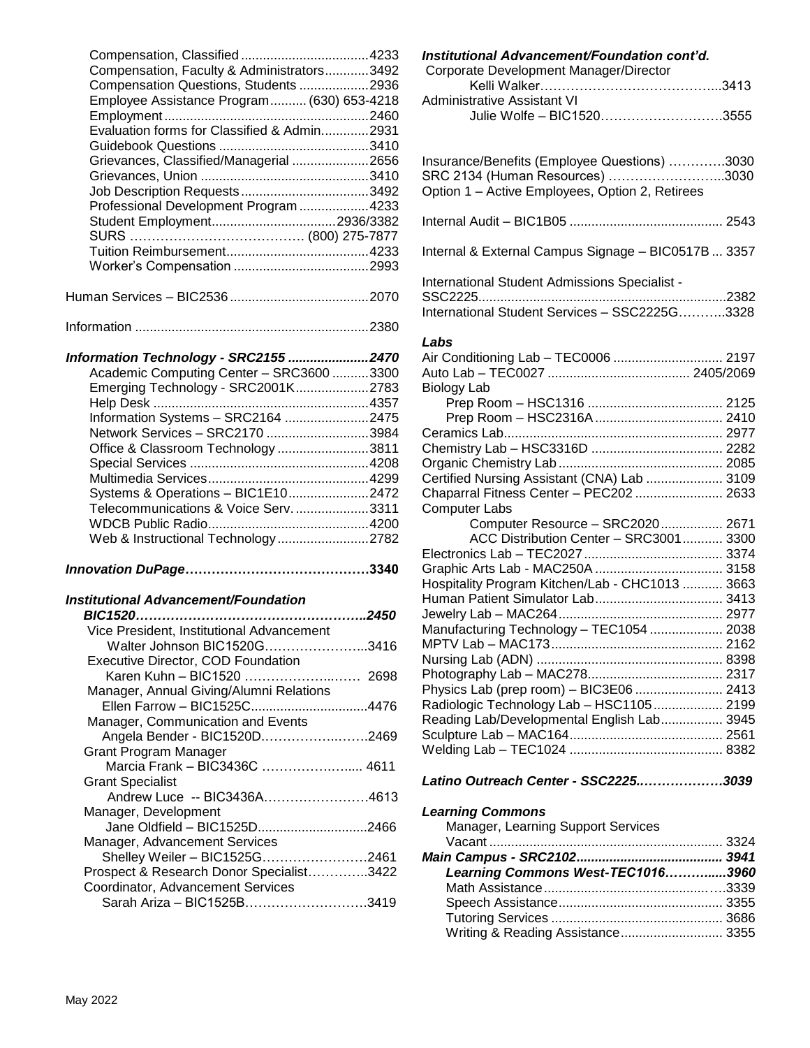| Compensation, Faculty & Administrators3492                                    |  |
|-------------------------------------------------------------------------------|--|
| Compensation Questions, Students 2936                                         |  |
| Employee Assistance Program (630) 653-4218                                    |  |
|                                                                               |  |
| Evaluation forms for Classified & Admin2931                                   |  |
|                                                                               |  |
|                                                                               |  |
| Grievances, Classified/Managerial 2656                                        |  |
|                                                                               |  |
|                                                                               |  |
| Professional Development Program 4233                                         |  |
|                                                                               |  |
|                                                                               |  |
|                                                                               |  |
|                                                                               |  |
|                                                                               |  |
|                                                                               |  |
|                                                                               |  |
|                                                                               |  |
|                                                                               |  |
|                                                                               |  |
| Information Technology - SRC2155 2470                                         |  |
| Academic Computing Center - SRC3600 3300                                      |  |
| Emerging Technology - SRC2001K2783                                            |  |
|                                                                               |  |
| Information Systems - SRC2164 2475                                            |  |
|                                                                               |  |
| Network Services - SRC2170 3984                                               |  |
| Office & Classroom Technology 3811                                            |  |
|                                                                               |  |
|                                                                               |  |
| Systems & Operations - BIC1E102472                                            |  |
| Telecommunications & Voice Serv3311                                           |  |
|                                                                               |  |
| Web & Instructional Technology2782                                            |  |
|                                                                               |  |
|                                                                               |  |
|                                                                               |  |
|                                                                               |  |
| <b>Institutional Advancement/Foundation</b>                                   |  |
|                                                                               |  |
| Vice President, Institutional Advancement                                     |  |
| Walter Johnson BIC1520G3416                                                   |  |
| <b>Executive Director, COD Foundation</b>                                     |  |
| Karen Kuhn - BIC1520  2698                                                    |  |
| Manager, Annual Giving/Alumni Relations                                       |  |
|                                                                               |  |
| Ellen Farrow - BIC1525C4476                                                   |  |
| Manager, Communication and Events                                             |  |
| Angela Bender - BIC1520D2469                                                  |  |
| <b>Grant Program Manager</b>                                                  |  |
| Marcia Frank - BIC3436C  4611                                                 |  |
| <b>Grant Specialist</b>                                                       |  |
| Andrew Luce -- BIC3436A4613                                                   |  |
| Manager, Development                                                          |  |
| Jane Oldfield - BIC1525D2466                                                  |  |
|                                                                               |  |
| Manager, Advancement Services                                                 |  |
| Shelley Weiler - BIC1525G2461                                                 |  |
| Prospect & Research Donor Specialist3422<br>Coordinator, Advancement Services |  |
|                                                                               |  |

| Coordinator, Advancement Services |  |
|-----------------------------------|--|
| Sarah Ariza - BIC1525B3419        |  |

#### *Institutional Advancement/Foundation cont'd.*

| Corporate Development Manager/Director |  |
|----------------------------------------|--|
|                                        |  |
| Administrative Assistant VI            |  |
| Julie Wolfe - BIC15203555              |  |
|                                        |  |
|                                        |  |

| Insurance/Benefits (Employee Questions) 3030<br>SRC 2134 (Human Resources) 3030<br>Option 1 - Active Employees, Option 2, Retirees |  |
|------------------------------------------------------------------------------------------------------------------------------------|--|
|                                                                                                                                    |  |
| Internal & External Campus Signage - BIC0517B  3357                                                                                |  |
| International Student Admissions Specialist -                                                                                      |  |
|                                                                                                                                    |  |
| Labs                                                                                                                               |  |
| Air Conditioning Lab - TEC0006  2197                                                                                               |  |
|                                                                                                                                    |  |
| Biology Lab                                                                                                                        |  |
|                                                                                                                                    |  |
|                                                                                                                                    |  |
|                                                                                                                                    |  |
|                                                                                                                                    |  |
|                                                                                                                                    |  |
| Certified Nursing Assistant (CNA) Lab  3109                                                                                        |  |
| Chaparral Fitness Center - PEC202  2633                                                                                            |  |
| <b>Computer Labs</b>                                                                                                               |  |
| Computer Resource - SRC2020 2671                                                                                                   |  |
| ACC Distribution Center - SRC3001 3300                                                                                             |  |
|                                                                                                                                    |  |
|                                                                                                                                    |  |
| Hospitality Program Kitchen/Lab - CHC1013  3663                                                                                    |  |
|                                                                                                                                    |  |
|                                                                                                                                    |  |
| Manufacturing Technology - TEC1054  2038                                                                                           |  |
|                                                                                                                                    |  |
|                                                                                                                                    |  |
|                                                                                                                                    |  |
| Physics Lab (prep room) - BIC3E06  2413                                                                                            |  |
| Radiologic Technology Lab - HSC1105 2199                                                                                           |  |
| Reading Lab/Developmental English Lab 3945                                                                                         |  |
|                                                                                                                                    |  |
|                                                                                                                                    |  |
|                                                                                                                                    |  |
| Latino Outreach Center - SSC22253039                                                                                               |  |
| <b>Learning Commons</b>                                                                                                            |  |
| Manager, Learning Support Services                                                                                                 |  |
|                                                                                                                                    |  |

*Main Campus - SRC2102........................................ 3941 Learning Commons West-TEC1016………......3960* Math Assistance.............................................….3339 Speech Assistance............................................. 3355 Tutoring Services ............................................... 3686 Writing & Reading Assistance............................ 3355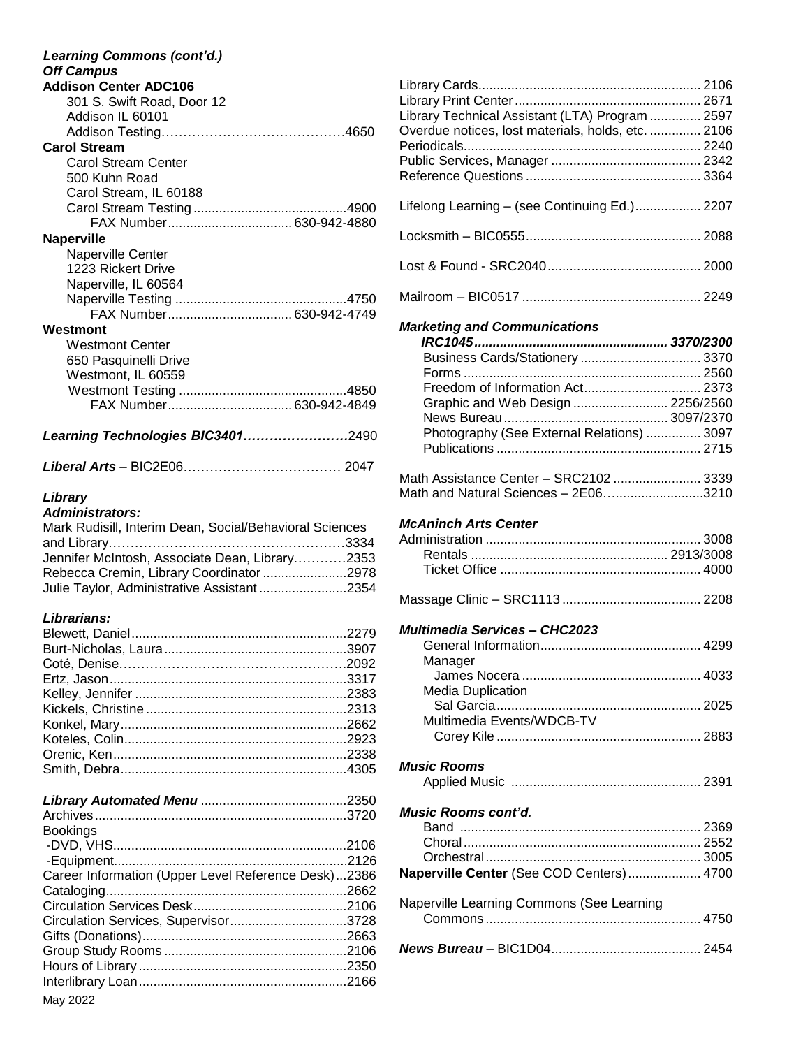| <b>Off Campus</b>                                       |  |
|---------------------------------------------------------|--|
| <b>Addison Center ADC106</b>                            |  |
| 301 S. Swift Road, Door 12                              |  |
| Addison IL 60101                                        |  |
|                                                         |  |
| <b>Carol Stream</b>                                     |  |
| <b>Carol Stream Center</b>                              |  |
| 500 Kuhn Road                                           |  |
| Carol Stream, IL 60188                                  |  |
|                                                         |  |
| <b>Naperville</b>                                       |  |
| Naperville Center                                       |  |
| 1223 Rickert Drive                                      |  |
| Naperville, IL 60564                                    |  |
|                                                         |  |
| FAX Number 630-942-4749                                 |  |
| Westmont                                                |  |
| <b>Westmont Center</b>                                  |  |
| 650 Pasquinelli Drive                                   |  |
| Westmont, IL 60559                                      |  |
|                                                         |  |
| FAX Number 630-942-4849                                 |  |
|                                                         |  |
| Learning Technologies BIC34012490                       |  |
|                                                         |  |
| Library                                                 |  |
| <b>Administrators:</b>                                  |  |
| Mark Rudisill, Interim Dean, Social/Behavioral Sciences |  |
|                                                         |  |
| Jennifer McIntosh, Associate Dean, Library2353          |  |
| Rebecca Cremin, Library Coordinator 2978                |  |
| Julie Taylor, Administrative Assistant 2354             |  |
|                                                         |  |
|                                                         |  |
| Librarians:                                             |  |
|                                                         |  |
|                                                         |  |
|                                                         |  |
|                                                         |  |
|                                                         |  |
|                                                         |  |
|                                                         |  |
|                                                         |  |
|                                                         |  |
|                                                         |  |
|                                                         |  |
|                                                         |  |
| <b>Bookings</b>                                         |  |
|                                                         |  |
|                                                         |  |
| Career Information (Upper Level Reference Desk)2386     |  |
|                                                         |  |
|                                                         |  |
| Circulation Services, Supervisor3728                    |  |
|                                                         |  |
|                                                         |  |
|                                                         |  |

| Library Technical Assistant (LTA) Program  2597    |  |
|----------------------------------------------------|--|
| Overdue notices, lost materials, holds, etc.  2106 |  |
|                                                    |  |
|                                                    |  |
|                                                    |  |
| Lifelong Learning - (see Continuing Ed.) 2207      |  |
|                                                    |  |
|                                                    |  |
|                                                    |  |
|                                                    |  |
| <b>Marketing and Communications</b>                |  |
|                                                    |  |
| Business Cards/Stationery  3370                    |  |
|                                                    |  |
| Freedom of Information Act 2373                    |  |
| Graphic and Web Design  2256/2560                  |  |
|                                                    |  |
| Photography (See External Relations)  3097         |  |
|                                                    |  |
|                                                    |  |

| Math Assistance Center - SRC2102  3339 |  |
|----------------------------------------|--|
| Math and Natural Sciences - 2E063210   |  |

# *McAninch Arts Center*

|--|--|--|

### *Multimedia Services – CHC2023*

| Manager                                   |  |
|-------------------------------------------|--|
|                                           |  |
| Media Duplication                         |  |
|                                           |  |
| Multimedia Events/WDCB-TV                 |  |
|                                           |  |
|                                           |  |
| <b>Music Rooms</b>                        |  |
|                                           |  |
|                                           |  |
| <i>Music Rooms cont'd.</i>                |  |
|                                           |  |
|                                           |  |
|                                           |  |
|                                           |  |
|                                           |  |
| Naperville Center (See COD Centers) 4700  |  |
|                                           |  |
|                                           |  |
| Naperville Learning Commons (See Learning |  |
|                                           |  |
|                                           |  |

May 2022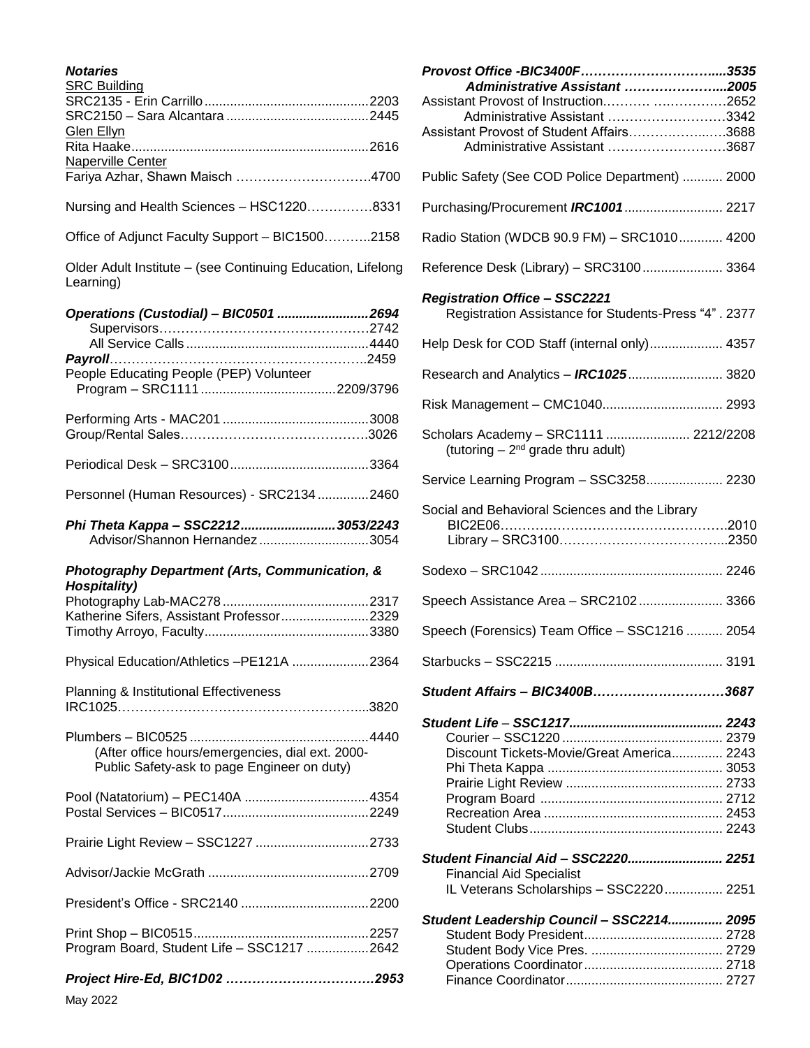| <b>Notaries</b><br><b>SRC Building</b>                                                          |
|-------------------------------------------------------------------------------------------------|
| <b>Glen Ellyn</b>                                                                               |
| Naperville Center                                                                               |
| Nursing and Health Sciences - HSC12208331                                                       |
| Office of Adjunct Faculty Support - BIC15002158                                                 |
| Older Adult Institute - (see Continuing Education, Lifelong<br>Learning)                        |
| Operations (Custodial) - BIC0501 2694                                                           |
| People Educating People (PEP) Volunteer                                                         |
|                                                                                                 |
|                                                                                                 |
| Personnel (Human Resources) - SRC2134 2460                                                      |
| Phi Theta Kappa - SSC2212 3053/2243<br>Advisor/Shannon Hernandez3054                            |
| Photography Department (Arts, Communication, &<br><b>Hospitality)</b>                           |
| Katherine Sifers, Assistant Professor2329                                                       |
| Physical Education/Athletics -PE121A 2364                                                       |
| Planning & Institutional Effectiveness                                                          |
| (After office hours/emergencies, dial ext. 2000-<br>Public Safety-ask to page Engineer on duty) |
|                                                                                                 |
| Prairie Light Review - SSC1227 2733                                                             |
|                                                                                                 |
|                                                                                                 |
| Program Board, Student Life - SSC1217 2642                                                      |
|                                                                                                 |

| Administrative Assistant 2005                                                                |  |
|----------------------------------------------------------------------------------------------|--|
| Assistant Provost of Instruction 2652                                                        |  |
| Administrative Assistant 3342                                                                |  |
| Assistant Provost of Student Affairs3688                                                     |  |
| Administrative Assistant 3687                                                                |  |
| Public Safety (See COD Police Department)  2000                                              |  |
|                                                                                              |  |
| Radio Station (WDCB 90.9 FM) - SRC1010 4200                                                  |  |
| Reference Desk (Library) - SRC3100 3364                                                      |  |
| <b>Registration Office - SSC2221</b><br>Registration Assistance for Students-Press "4". 2377 |  |
| Help Desk for COD Staff (internal only) 4357                                                 |  |
| Research and Analytics - <b>IRC1025</b> 3820                                                 |  |
|                                                                                              |  |
| Scholars Academy - SRC1111  2212/2208<br>(tutoring $-2^{nd}$ grade thru adult)               |  |
| Service Learning Program - SSC3258 2230                                                      |  |
| Social and Behavioral Sciences and the Library                                               |  |
|                                                                                              |  |
|                                                                                              |  |
|                                                                                              |  |
| Speech Assistance Area - SRC2102 3366                                                        |  |
| Speech (Forensics) Team Office - SSC1216  2054                                               |  |
|                                                                                              |  |
| Student Affairs - BIC3400B3687                                                               |  |
|                                                                                              |  |
| Discount Tickets-Movie/Great America 2243                                                    |  |
|                                                                                              |  |
|                                                                                              |  |
|                                                                                              |  |
|                                                                                              |  |
|                                                                                              |  |
| Student Financial Aid - SSC2220 2251                                                         |  |
| <b>Financial Aid Specialist</b>                                                              |  |
| IL Veterans Scholarships - SSC2220 2251                                                      |  |
| Student Leadership Council - SSC2214 2095                                                    |  |
|                                                                                              |  |
|                                                                                              |  |
|                                                                                              |  |
|                                                                                              |  |